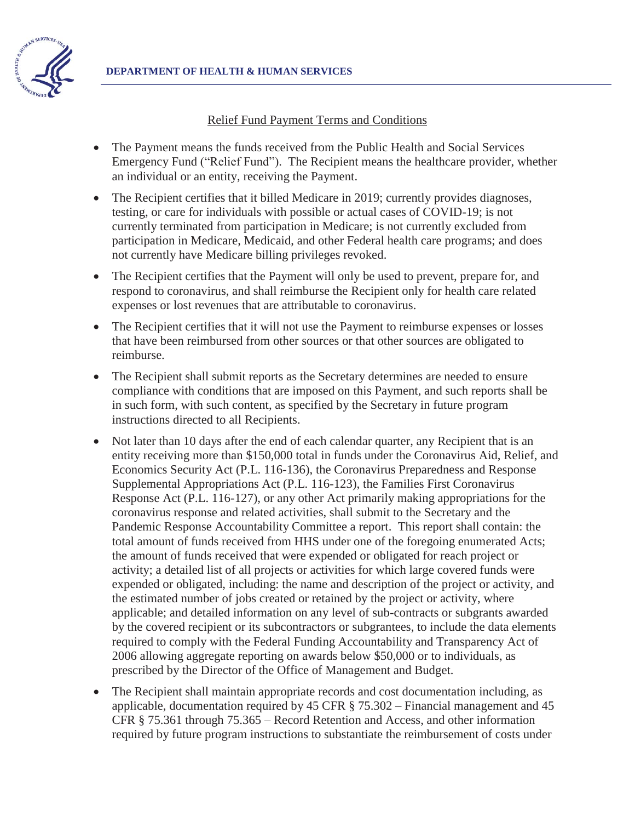

#### Relief Fund Payment Terms and Conditions

- x The Payment means the funds received from the Public Health and Social Services Emergency Fund ("Relief Fund"). The Recipient means the healthcare provider, whether an individual or an entity, receiving the Payment.
- The Recipient certifies that it billed Medicare in 2019; currently provides diagnoses, testing, or care for individuals with possible or actual cases of COVID-19; is not currently terminated from participation in Medicare; is not currently excluded from participation in Medicare, Medicaid, and other Federal health care programs; and does not currently have Medicare billing privileges revoked.
- The Recipient certifies that the Payment will only be used to prevent, prepare for, and respond to coronavirus, and shall reimburse the Recipient only for health care related expenses or lost revenues that are attributable to coronavirus.
- The Recipient certifies that it will not use the Payment to reimburse expenses or losses that have been reimbursed from other sources or that other sources are obligated to reimburse.
- The Recipient shall submit reports as the Secretary determines are needed to ensure compliance with conditions that are imposed on this Payment, and such reports shall be in such form, with such content, as specified by the Secretary in future program instructions directed to all Recipients.
- Not later than 10 days after the end of each calendar quarter, any Recipient that is an entity receiving more than \$150,000 total in funds under the Coronavirus Aid, Relief, and Economics Security Act (P.L. 116-136), the Coronavirus Preparedness and Response Supplemental Appropriations Act (P.L. 116-123), the Families First Coronavirus Response Act (P.L. 116-127), or any other Act primarily making appropriations for the coronavirus response and related activities, shall submit to the Secretary and the Pandemic Response Accountability Committee a report. This report shall contain: the total amount of funds received from HHS under one of the foregoing enumerated Acts; the amount of funds received that were expended or obligated for reach project or activity; a detailed list of all projects or activities for which large covered funds were expended or obligated, including: the name and description of the project or activity, and the estimated number of jobs created or retained by the project or activity, where applicable; and detailed information on any level of sub-contracts or subgrants awarded by the covered recipient or its subcontractors or subgrantees, to include the data elements required to comply with the Federal Funding Accountability and Transparency Act of 2006 allowing aggregate reporting on awards below \$50,000 or to individuals, as prescribed by the Director of the Office of Management and Budget.
- The Recipient shall maintain appropriate records and cost documentation including, as applicable, documentation required by 45 CFR § 75.302 – Financial management and 45 CFR § 75.361 through 75.365 – Record Retention and Access, and other information required by future program instructions to substantiate the reimbursement of costs under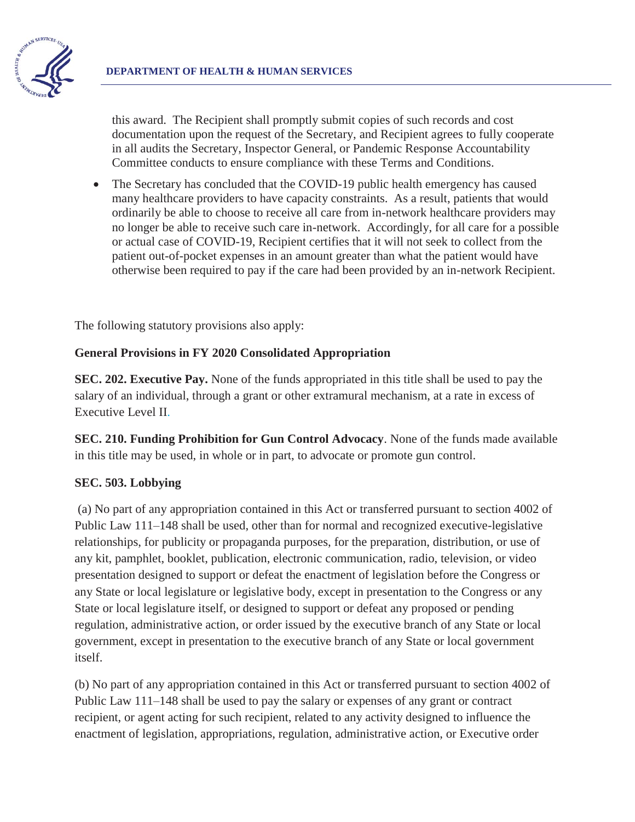

this award. The Recipient shall promptly submit copies of such records and cost documentation upon the request of the Secretary, and Recipient agrees to fully cooperate in all audits the Secretary, Inspector General, or Pandemic Response Accountability Committee conducts to ensure compliance with these Terms and Conditions.

The Secretary has concluded that the COVID-19 public health emergency has caused many healthcare providers to have capacity constraints. As a result, patients that would ordinarily be able to choose to receive all care from in-network healthcare providers may no longer be able to receive such care in-network. Accordingly, for all care for a possible or actual case of COVID-19, Recipient certifies that it will not seek to collect from the patient out-of-pocket expenses in an amount greater than what the patient would have otherwise been required to pay if the care had been provided by an in-network Recipient.

The following statutory provisions also apply:

## **General Provisions in FY 2020 Consolidated Appropriation**

**SEC. 202. Executive Pay.** None of the funds appropriated in this title shall be used to pay the salary of an individual, through a grant or other extramural mechanism, at a rate in excess of Executive Level II.

**SEC. 210. Funding Prohibition for Gun Control Advocacy**. None of the funds made available in this title may be used, in whole or in part, to advocate or promote gun control.

## **SEC. 503. Lobbying**

 (a) No part of any appropriation contained in this Act or transferred pursuant to section 4002 of Public Law 111–148 shall be used, other than for normal and recognized executive-legislative relationships, for publicity or propaganda purposes, for the preparation, distribution, or use of any kit, pamphlet, booklet, publication, electronic communication, radio, television, or video presentation designed to support or defeat the enactment of legislation before the Congress or any State or local legislature or legislative body, except in presentation to the Congress or any State or local legislature itself, or designed to support or defeat any proposed or pending regulation, administrative action, or order issued by the executive branch of any State or local government, except in presentation to the executive branch of any State or local government itself.

(b) No part of any appropriation contained in this Act or transferred pursuant to section 4002 of Public Law 111–148 shall be used to pay the salary or expenses of any grant or contract recipient, or agent acting for such recipient, related to any activity designed to influence the enactment of legislation, appropriations, regulation, administrative action, or Executive order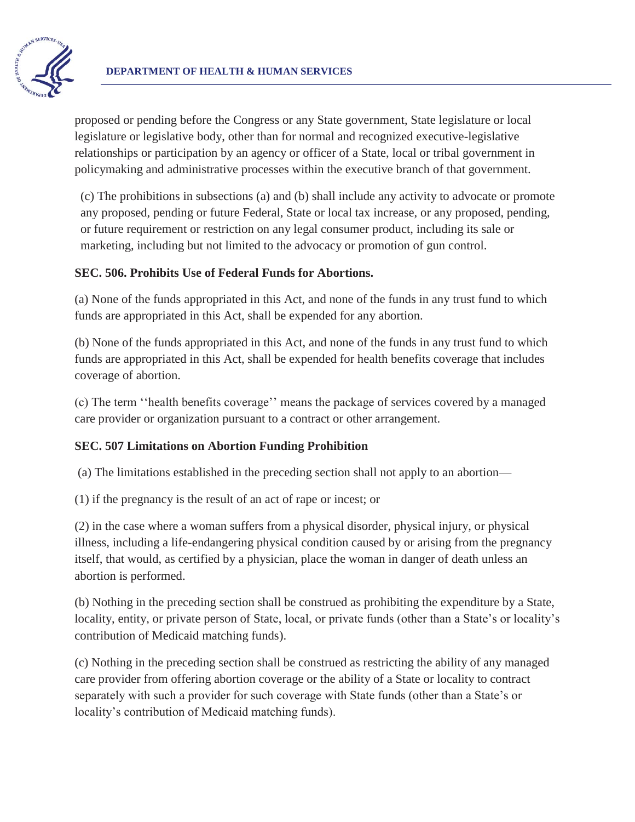

proposed or pending before the Congress or any State government, State legislature or local legislature or legislative body, other than for normal and recognized executive-legislative relationships or participation by an agency or officer of a State, local or tribal government in policymaking and administrative processes within the executive branch of that government.

(c) The prohibitions in subsections (a) and (b) shall include any activity to advocate or promote any proposed, pending or future Federal, State or local tax increase, or any proposed, pending, or future requirement or restriction on any legal consumer product, including its sale or marketing, including but not limited to the advocacy or promotion of gun control.

## **SEC. 506. Prohibits Use of Federal Funds for Abortions.**

(a) None of the funds appropriated in this Act, and none of the funds in any trust fund to which funds are appropriated in this Act, shall be expended for any abortion.

(b) None of the funds appropriated in this Act, and none of the funds in any trust fund to which funds are appropriated in this Act, shall be expended for health benefits coverage that includes coverage of abortion.

(c) The term ''health benefits coverage'' means the package of services covered by a managed care provider or organization pursuant to a contract or other arrangement.

# **SEC. 507 Limitations on Abortion Funding Prohibition**

(a) The limitations established in the preceding section shall not apply to an abortion—

(1) if the pregnancy is the result of an act of rape or incest; or

(2) in the case where a woman suffers from a physical disorder, physical injury, or physical illness, including a life-endangering physical condition caused by or arising from the pregnancy itself, that would, as certified by a physician, place the woman in danger of death unless an abortion is performed.

(b) Nothing in the preceding section shall be construed as prohibiting the expenditure by a State, locality, entity, or private person of State, local, or private funds (other than a State's or locality's contribution of Medicaid matching funds).

(c) Nothing in the preceding section shall be construed as restricting the ability of any managed care provider from offering abortion coverage or the ability of a State or locality to contract separately with such a provider for such coverage with State funds (other than a State's or locality's contribution of Medicaid matching funds).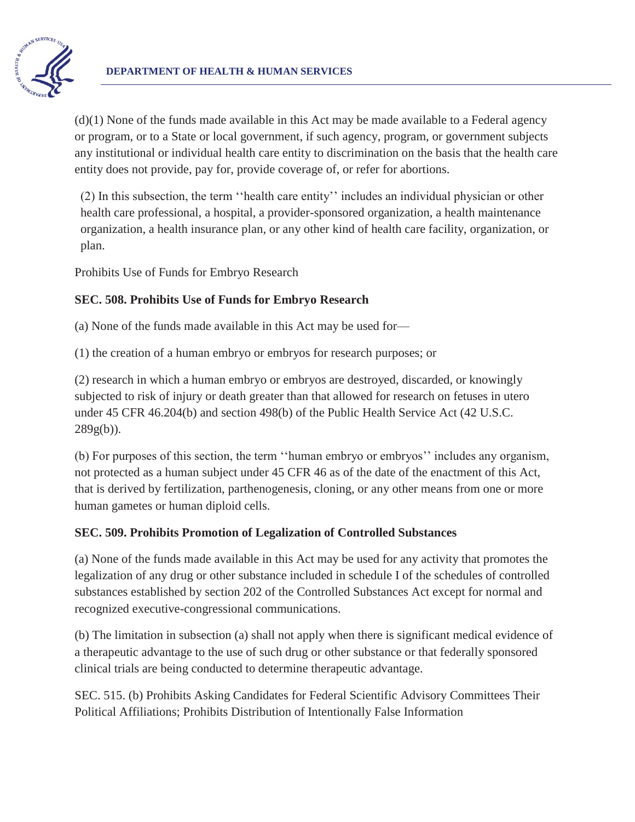

 $(d)(1)$  None of the funds made available in this Act may be made available to a Federal agency or program, or to a State or local government, if such agency, program, or government subjects any institutional or individual health care entity to discrimination on the basis that the health care entity does not provide, pay for, provide coverage of, or refer for abortions.

(2) In this subsection, the term ''health care entity'' includes an individual physician or other health care professional, a hospital, a provider-sponsored organization, a health maintenance organization, a health insurance plan, or any other kind of health care facility, organization, or plan.

Prohibits Use of Funds for Embryo Research

## **SEC. 508. Prohibits Use of Funds for Embryo Research**

(a) None of the funds made available in this Act may be used for—

(1) the creation of a human embryo or embryos for research purposes; or

(2) research in which a human embryo or embryos are destroyed, discarded, or knowingly subjected to risk of injury or death greater than that allowed for research on fetuses in utero under 45 CFR 46.204(b) and section 498(b) of the Public Health Service Act (42 U.S.C. 289g(b)).

(b) For purposes of this section, the term ''human embryo or embryos'' includes any organism, not protected as a human subject under 45 CFR 46 as of the date of the enactment of this Act, that is derived by fertilization, parthenogenesis, cloning, or any other means from one or more human gametes or human diploid cells.

## **SEC. 509. Prohibits Promotion of Legalization of Controlled Substances**

(a) None of the funds made available in this Act may be used for any activity that promotes the legalization of any drug or other substance included in schedule I of the schedules of controlled substances established by section 202 of the Controlled Substances Act except for normal and recognized executive-congressional communications.

(b) The limitation in subsection (a) shall not apply when there is significant medical evidence of a therapeutic advantage to the use of such drug or other substance or that federally sponsored clinical trials are being conducted to determine therapeutic advantage.

SEC. 515. (b) Prohibits Asking Candidates for Federal Scientific Advisory Committees Their Political Affiliations; Prohibits Distribution of Intentionally False Information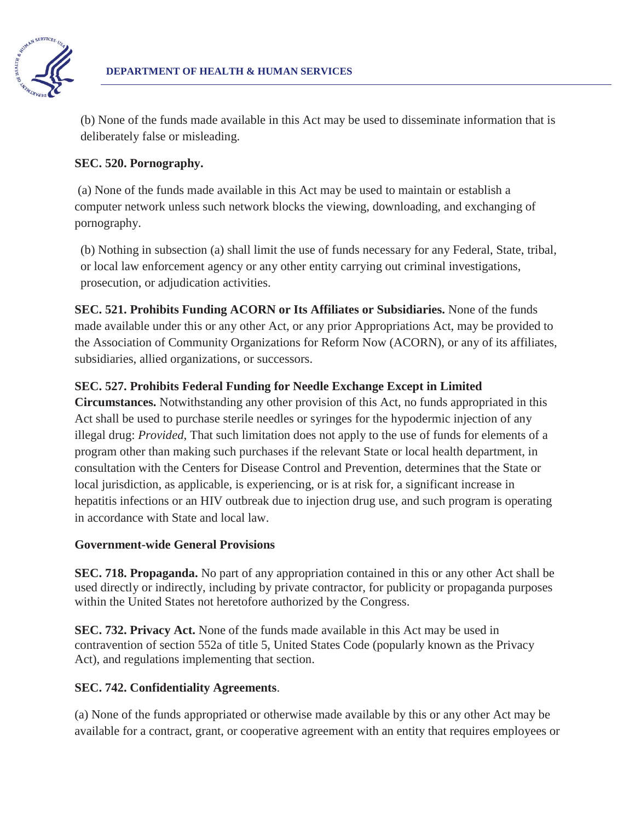

(b) None of the funds made available in this Act may be used to disseminate information that is deliberately false or misleading.

## **SEC. 520. Pornography.**

 (a) None of the funds made available in this Act may be used to maintain or establish a computer network unless such network blocks the viewing, downloading, and exchanging of pornography.

(b) Nothing in subsection (a) shall limit the use of funds necessary for any Federal, State, tribal, or local law enforcement agency or any other entity carrying out criminal investigations, prosecution, or adjudication activities.

**SEC. 521. Prohibits Funding ACORN or Its Affiliates or Subsidiaries.** None of the funds made available under this or any other Act, or any prior Appropriations Act, may be provided to the Association of Community Organizations for Reform Now (ACORN), or any of its affiliates, subsidiaries, allied organizations, or successors.

# **SEC. 527. Prohibits Federal Funding for Needle Exchange Except in Limited**

**Circumstances.** Notwithstanding any other provision of this Act, no funds appropriated in this Act shall be used to purchase sterile needles or syringes for the hypodermic injection of any illegal drug: *Provided*, That such limitation does not apply to the use of funds for elements of a program other than making such purchases if the relevant State or local health department, in consultation with the Centers for Disease Control and Prevention, determines that the State or local jurisdiction, as applicable, is experiencing, or is at risk for, a significant increase in hepatitis infections or an HIV outbreak due to injection drug use, and such program is operating in accordance with State and local law.

## **Government-wide General Provisions**

**SEC. 718. Propaganda.** No part of any appropriation contained in this or any other Act shall be used directly or indirectly, including by private contractor, for publicity or propaganda purposes within the United States not heretofore authorized by the Congress.

**SEC. 732. Privacy Act.** None of the funds made available in this Act may be used in contravention of section 552a of title 5, United States Code (popularly known as the Privacy Act), and regulations implementing that section.

## **SEC. 742. Confidentiality Agreements**.

(a) None of the funds appropriated or otherwise made available by this or any other Act may be available for a contract, grant, or cooperative agreement with an entity that requires employees or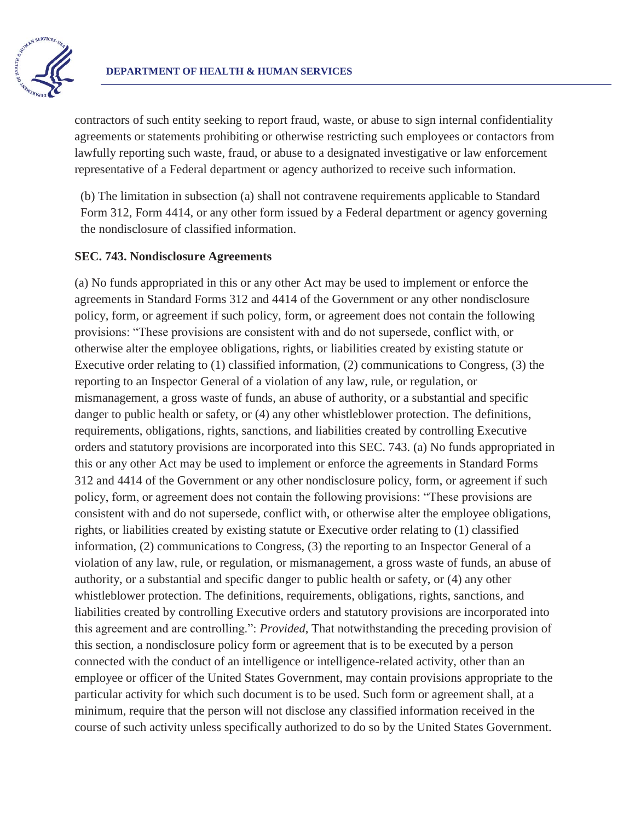

contractors of such entity seeking to report fraud, waste, or abuse to sign internal confidentiality agreements or statements prohibiting or otherwise restricting such employees or contactors from lawfully reporting such waste, fraud, or abuse to a designated investigative or law enforcement representative of a Federal department or agency authorized to receive such information.

(b) The limitation in subsection (a) shall not contravene requirements applicable to Standard Form 312, Form 4414, or any other form issued by a Federal department or agency governing the nondisclosure of classified information.

#### **SEC. 743. Nondisclosure Agreements**

(a) No funds appropriated in this or any other Act may be used to implement or enforce the agreements in Standard Forms 312 and 4414 of the Government or any other nondisclosure policy, form, or agreement if such policy, form, or agreement does not contain the following provisions: "These provisions are consistent with and do not supersede, conflict with, or otherwise alter the employee obligations, rights, or liabilities created by existing statute or Executive order relating to (1) classified information, (2) communications to Congress, (3) the reporting to an Inspector General of a violation of any law, rule, or regulation, or mismanagement, a gross waste of funds, an abuse of authority, or a substantial and specific danger to public health or safety, or (4) any other whistleblower protection. The definitions, requirements, obligations, rights, sanctions, and liabilities created by controlling Executive orders and statutory provisions are incorporated into this SEC. 743. (a) No funds appropriated in this or any other Act may be used to implement or enforce the agreements in Standard Forms 312 and 4414 of the Government or any other nondisclosure policy, form, or agreement if such policy, form, or agreement does not contain the following provisions: "These provisions are consistent with and do not supersede, conflict with, or otherwise alter the employee obligations, rights, or liabilities created by existing statute or Executive order relating to (1) classified information, (2) communications to Congress, (3) the reporting to an Inspector General of a violation of any law, rule, or regulation, or mismanagement, a gross waste of funds, an abuse of authority, or a substantial and specific danger to public health or safety, or (4) any other whistleblower protection. The definitions, requirements, obligations, rights, sanctions, and liabilities created by controlling Executive orders and statutory provisions are incorporated into this agreement and are controlling.": *Provided*, That notwithstanding the preceding provision of this section, a nondisclosure policy form or agreement that is to be executed by a person connected with the conduct of an intelligence or intelligence-related activity, other than an employee or officer of the United States Government, may contain provisions appropriate to the particular activity for which such document is to be used. Such form or agreement shall, at a minimum, require that the person will not disclose any classified information received in the course of such activity unless specifically authorized to do so by the United States Government.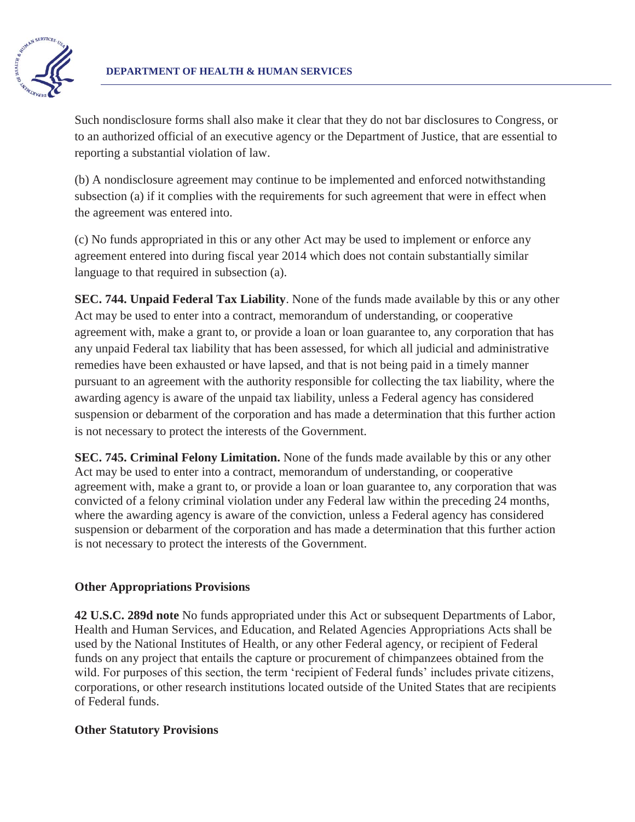

Such nondisclosure forms shall also make it clear that they do not bar disclosures to Congress, or to an authorized official of an executive agency or the Department of Justice, that are essential to reporting a substantial violation of law.

(b) A nondisclosure agreement may continue to be implemented and enforced notwithstanding subsection (a) if it complies with the requirements for such agreement that were in effect when the agreement was entered into.

(c) No funds appropriated in this or any other Act may be used to implement or enforce any agreement entered into during fiscal year 2014 which does not contain substantially similar language to that required in subsection (a).

**SEC. 744. Unpaid Federal Tax Liability**. None of the funds made available by this or any other Act may be used to enter into a contract, memorandum of understanding, or cooperative agreement with, make a grant to, or provide a loan or loan guarantee to, any corporation that has any unpaid Federal tax liability that has been assessed, for which all judicial and administrative remedies have been exhausted or have lapsed, and that is not being paid in a timely manner pursuant to an agreement with the authority responsible for collecting the tax liability, where the awarding agency is aware of the unpaid tax liability, unless a Federal agency has considered suspension or debarment of the corporation and has made a determination that this further action is not necessary to protect the interests of the Government.

**SEC. 745. Criminal Felony Limitation.** None of the funds made available by this or any other Act may be used to enter into a contract, memorandum of understanding, or cooperative agreement with, make a grant to, or provide a loan or loan guarantee to, any corporation that was convicted of a felony criminal violation under any Federal law within the preceding 24 months, where the awarding agency is aware of the conviction, unless a Federal agency has considered suspension or debarment of the corporation and has made a determination that this further action is not necessary to protect the interests of the Government.

## **Other Appropriations Provisions**

**42 U.S.C. 289d note** No funds appropriated under this Act or subsequent Departments of Labor, Health and Human Services, and Education, and Related Agencies Appropriations Acts shall be used by the National Institutes of Health, or any other Federal agency, or recipient of Federal funds on any project that entails the capture or procurement of chimpanzees obtained from the wild. For purposes of this section, the term 'recipient of Federal funds' includes private citizens, corporations, or other research institutions located outside of the United States that are recipients of Federal funds.

## **Other Statutory Provisions**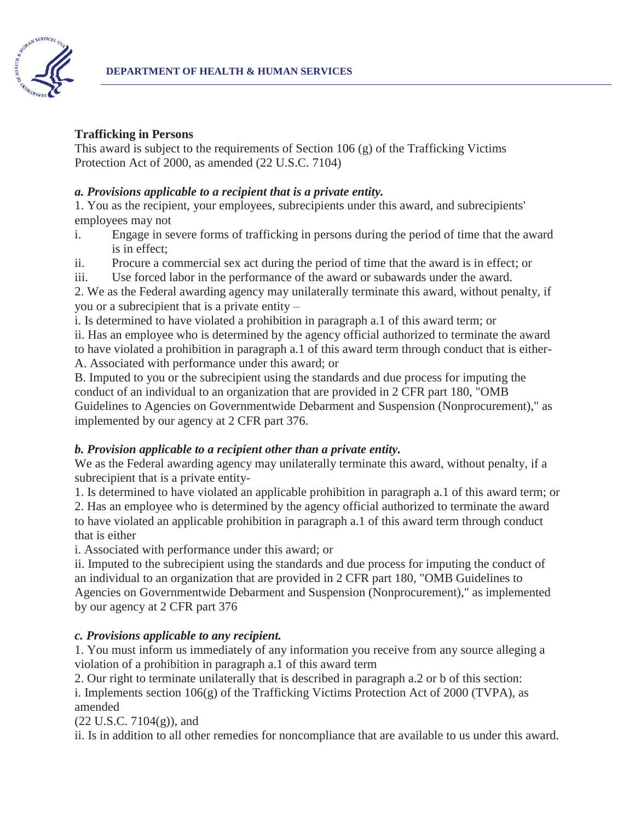

#### **Trafficking in Persons**

This award is subject to the requirements of Section 106 (g) of the Trafficking Victims Protection Act of 2000, as amended (22 U.S.C. 7104)

#### *a. Provisions applicable to a recipient that is a private entity.*

1. You as the recipient, your employees, subrecipients under this award, and subrecipients' employees may not

- i. Engage in severe forms of trafficking in persons during the period of time that the award is in effect;
- ii. Procure a commercial sex act during the period of time that the award is in effect; or
- iii. Use forced labor in the performance of the award or subawards under the award.

2. We as the Federal awarding agency may unilaterally terminate this award, without penalty, if you or a subrecipient that is a private entity –

i. Is determined to have violated a prohibition in paragraph a.1 of this award term; or

ii. Has an employee who is determined by the agency official authorized to terminate the award to have violated a prohibition in paragraph a.1 of this award term through conduct that is either-A. Associated with performance under this award; or

B. Imputed to you or the subrecipient using the standards and due process for imputing the conduct of an individual to an organization that are provided in 2 CFR part 180, "OMB Guidelines to Agencies on Governmentwide Debarment and Suspension (Nonprocurement)," as implemented by our agency at 2 CFR part 376.

## *b. Provision applicable to a recipient other than a private entity.*

We as the Federal awarding agency may unilaterally terminate this award, without penalty, if a subrecipient that is a private entity-

1. Is determined to have violated an applicable prohibition in paragraph a.1 of this award term; or

2. Has an employee who is determined by the agency official authorized to terminate the award to have violated an applicable prohibition in paragraph a.1 of this award term through conduct that is either

i. Associated with performance under this award; or

ii. Imputed to the subrecipient using the standards and due process for imputing the conduct of an individual to an organization that are provided in 2 CFR part 180, "OMB Guidelines to Agencies on Governmentwide Debarment and Suspension (Nonprocurement)," as implemented by our agency at 2 CFR part 376

## *c. Provisions applicable to any recipient.*

1. You must inform us immediately of any information you receive from any source alleging a violation of a prohibition in paragraph a.1 of this award term

2. Our right to terminate unilaterally that is described in paragraph a.2 or b of this section:

i. Implements section  $106(g)$  of the Trafficking Victims Protection Act of 2000 (TVPA), as amended

(22 U.S.C. 7104(g)), and

ii. Is in addition to all other remedies for noncompliance that are available to us under this award.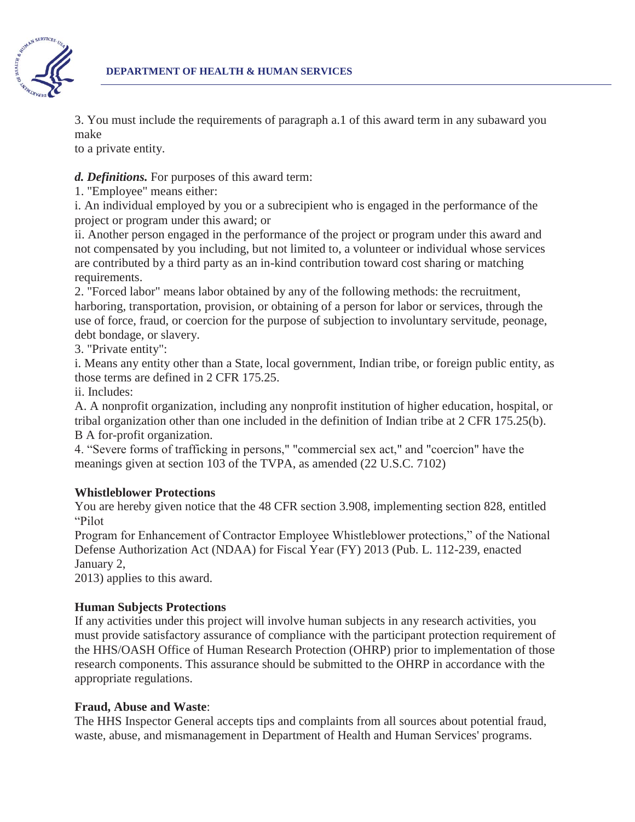

3. You must include the requirements of paragraph a.1 of this award term in any subaward you make

to a private entity.

## *d. Definitions.* For purposes of this award term:

1. "Employee" means either:

i. An individual employed by you or a subrecipient who is engaged in the performance of the project or program under this award; or

ii. Another person engaged in the performance of the project or program under this award and not compensated by you including, but not limited to, a volunteer or individual whose services are contributed by a third party as an in-kind contribution toward cost sharing or matching requirements.

2. "Forced labor" means labor obtained by any of the following methods: the recruitment, harboring, transportation, provision, or obtaining of a person for labor or services, through the use of force, fraud, or coercion for the purpose of subjection to involuntary servitude, peonage, debt bondage, or slavery.

3. "Private entity":

i. Means any entity other than a State, local government, Indian tribe, or foreign public entity, as those terms are defined in 2 CFR 175.25.

ii. Includes:

A. A nonprofit organization, including any nonprofit institution of higher education, hospital, or tribal organization other than one included in the definition of Indian tribe at 2 CFR 175.25(b). B A for-profit organization.

4. "Severe forms of trafficking in persons," "commercial sex act," and "coercion" have the meanings given at section 103 of the TVPA, as amended (22 U.S.C. 7102)

# **Whistleblower Protections**

You are hereby given notice that the 48 CFR section 3.908, implementing section 828, entitled "Pilot

Program for Enhancement of Contractor Employee Whistleblower protections," of the National Defense Authorization Act (NDAA) for Fiscal Year (FY) 2013 (Pub. L. 112-239, enacted January 2,

2013) applies to this award.

## **Human Subjects Protections**

If any activities under this project will involve human subjects in any research activities, you must provide satisfactory assurance of compliance with the participant protection requirement of the HHS/OASH Office of Human Research Protection (OHRP) prior to implementation of those research components. This assurance should be submitted to the OHRP in accordance with the appropriate regulations.

## **Fraud, Abuse and Waste**:

The HHS Inspector General accepts tips and complaints from all sources about potential fraud, waste, abuse, and mismanagement in Department of Health and Human Services' programs.